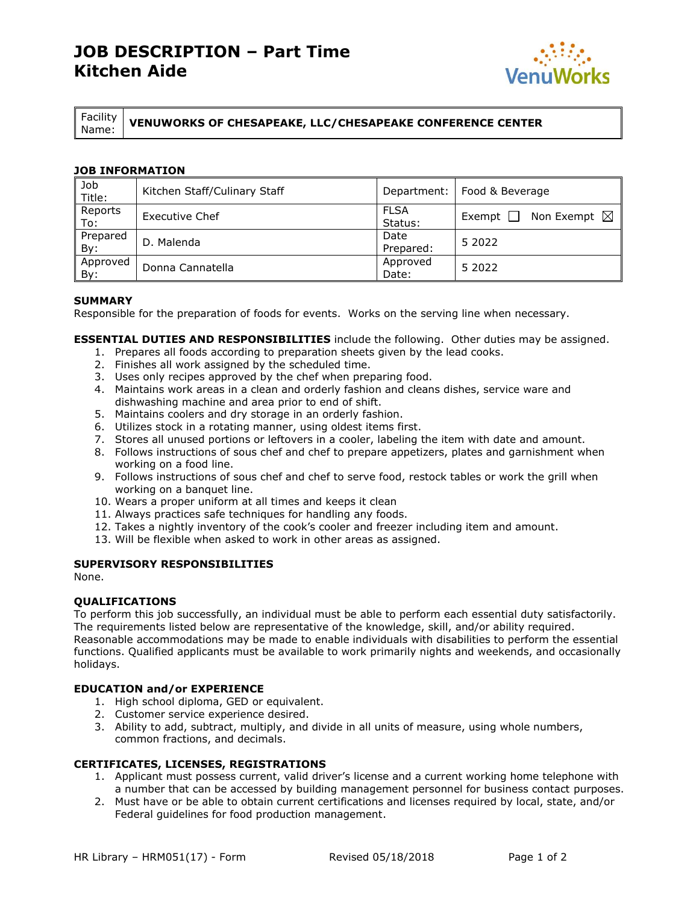# **JOB DESCRIPTION – Part Time Kitchen Aide**



Facility

Name: **VENUWORKS OF CHESAPEAKE, LLC/CHESAPEAKE CONFERENCE CENTER**

## **JOB INFORMATION**

| Job<br>Title:     | Kitchen Staff/Culinary Staff | Department:            | Food & Beverage                         |  |
|-------------------|------------------------------|------------------------|-----------------------------------------|--|
| Reports<br>To:    | Executive Chef               | <b>FLSA</b><br>Status: | Non Exempt $\boxtimes$<br>Exempt $\Box$ |  |
| Prepared<br>By:   | D. Malenda                   | Date<br>Prepared:      | 5 2022                                  |  |
| Approved<br>. By: | Donna Cannatella             | Approved<br>Date:      | 5 2022                                  |  |

## **SUMMARY**

Responsible for the preparation of foods for events. Works on the serving line when necessary.

**ESSENTIAL DUTIES AND RESPONSIBILITIES** include the following. Other duties may be assigned.

- 1. Prepares all foods according to preparation sheets given by the lead cooks.
- 2. Finishes all work assigned by the scheduled time.
- 3. Uses only recipes approved by the chef when preparing food.
- 4. Maintains work areas in a clean and orderly fashion and cleans dishes, service ware and dishwashing machine and area prior to end of shift.
- 5. Maintains coolers and dry storage in an orderly fashion.
- 6. Utilizes stock in a rotating manner, using oldest items first.
- 7. Stores all unused portions or leftovers in a cooler, labeling the item with date and amount.
- 8. Follows instructions of sous chef and chef to prepare appetizers, plates and garnishment when working on a food line.
- 9. Follows instructions of sous chef and chef to serve food, restock tables or work the grill when working on a banquet line.
- 10. Wears a proper uniform at all times and keeps it clean
- 11. Always practices safe techniques for handling any foods.
- 12. Takes a nightly inventory of the cook's cooler and freezer including item and amount.
- 13. Will be flexible when asked to work in other areas as assigned.

## **SUPERVISORY RESPONSIBILITIES**

None.

### **QUALIFICATIONS**

To perform this job successfully, an individual must be able to perform each essential duty satisfactorily. The requirements listed below are representative of the knowledge, skill, and/or ability required. Reasonable accommodations may be made to enable individuals with disabilities to perform the essential functions. Qualified applicants must be available to work primarily nights and weekends, and occasionally holidays.

### **EDUCATION and/or EXPERIENCE**

- 1. High school diploma, GED or equivalent.
- 2. Customer service experience desired.
- 3. Ability to add, subtract, multiply, and divide in all units of measure, using whole numbers, common fractions, and decimals.

### **CERTIFICATES, LICENSES, REGISTRATIONS**

- 1. Applicant must possess current, valid driver's license and a current working home telephone with a number that can be accessed by building management personnel for business contact purposes.
- 2. Must have or be able to obtain current certifications and licenses required by local, state, and/or Federal guidelines for food production management.